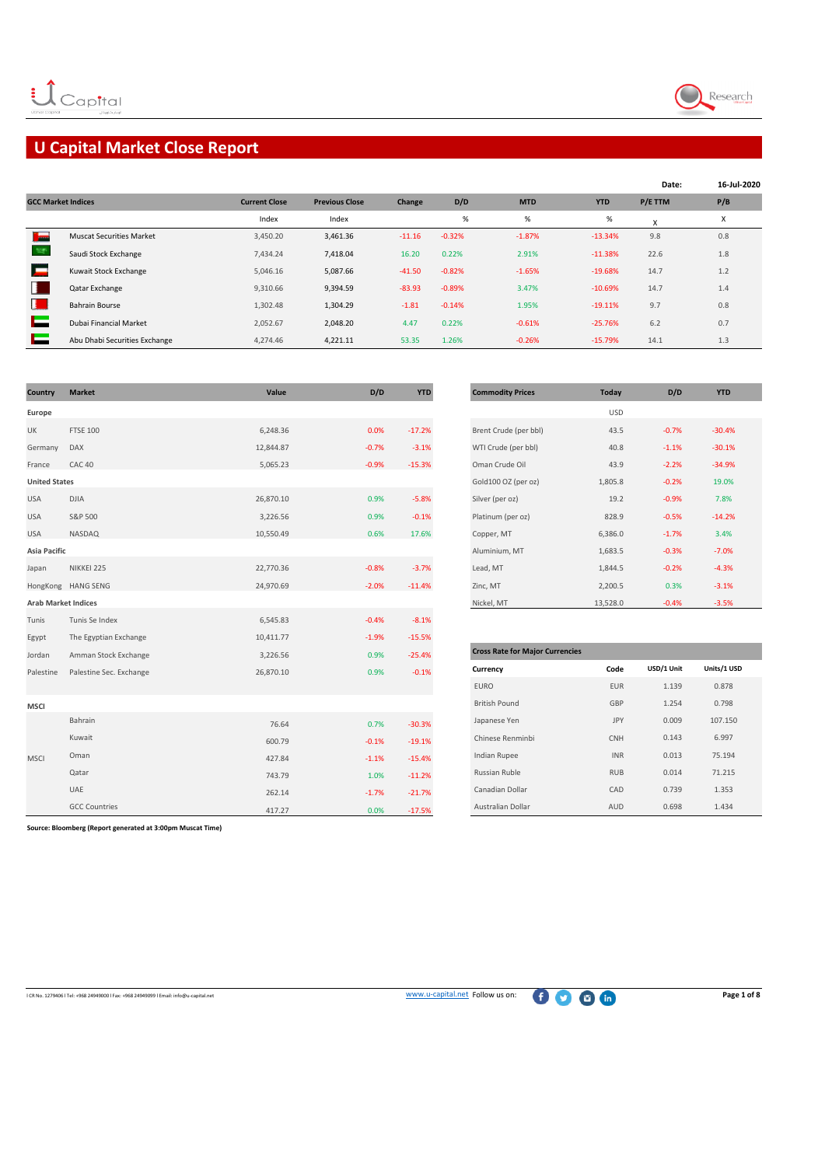

# **U Capital Market Close Report**

|                           |                                 |                      |                       |          |          |            |            | Date:   | 16-Jul-2020 |
|---------------------------|---------------------------------|----------------------|-----------------------|----------|----------|------------|------------|---------|-------------|
| <b>GCC Market Indices</b> |                                 | <b>Current Close</b> | <b>Previous Close</b> | Change   | D/D      | <b>MTD</b> | <b>YTD</b> | P/E TTM | P/B         |
|                           |                                 | Index                | Index                 |          | $\%$     | $\%$       | %          | X       | X           |
| T <sub>om</sub>           | <b>Muscat Securities Market</b> | 3,450.20             | 3,461.36              | $-11.16$ | $-0.32%$ | $-1.87%$   | $-13.34%$  | 9.8     | 0.8         |
|                           | Saudi Stock Exchange            | 7,434.24             | 7,418.04              | 16.20    | 0.22%    | 2.91%      | $-11.38%$  | 22.6    | 1.8         |
|                           | Kuwait Stock Exchange           | 5,046.16             | 5,087.66              | $-41.50$ | $-0.82%$ | $-1.65%$   | $-19.68%$  | 14.7    | 1.2         |
| н                         | Qatar Exchange                  | 9.310.66             | 9,394.59              | $-83.93$ | $-0.89%$ | 3.47%      | $-10.69%$  | 14.7    | 1.4         |
| н.                        | <b>Bahrain Bourse</b>           | 1,302.48             | 1,304.29              | $-1.81$  | $-0.14%$ | 1.95%      | $-19.11%$  | 9.7     | 0.8         |
|                           | Dubai Financial Market          | 2,052.67             | 2,048.20              | 4.47     | 0.22%    | $-0.61%$   | $-25.76%$  | 6.2     | 0.7         |
|                           | Abu Dhabi Securities Exchange   | 4,274.46             | 4,221.11              | 53.35    | 1.26%    | $-0.26%$   | $-15.79%$  | 14.1    | 1.3         |

| Country                    | <b>Market</b>           | Value     | D/D     | <b>YTD</b> | <b>Commodity Prices</b>                | <b>Today</b> | D/D        | <b>YTD</b>  |
|----------------------------|-------------------------|-----------|---------|------------|----------------------------------------|--------------|------------|-------------|
| Europe                     |                         |           |         |            |                                        | <b>USD</b>   |            |             |
| UK                         | <b>FTSE 100</b>         | 6,248.36  | 0.0%    | $-17.2%$   | Brent Crude (per bbl)                  | 43.5         | $-0.7%$    | $-30.4%$    |
| Germany                    | DAX                     | 12,844.87 | $-0.7%$ | $-3.1%$    | WTI Crude (per bbl)                    | 40.8         | $-1.1%$    | $-30.1%$    |
| France                     | <b>CAC 40</b>           | 5,065.23  | $-0.9%$ | $-15.3%$   | Oman Crude Oil                         | 43.9         | $-2.2%$    | $-34.9%$    |
| <b>United States</b>       |                         |           |         |            | Gold100 OZ (per oz)                    | 1,805.8      | $-0.2%$    | 19.0%       |
| <b>USA</b>                 | <b>DJIA</b>             | 26,870.10 | 0.9%    | $-5.8%$    | Silver (per oz)                        | 19.2         | $-0.9%$    | 7.8%        |
| <b>USA</b>                 | S&P 500                 | 3,226.56  | 0.9%    | $-0.1%$    | Platinum (per oz)                      | 828.9        | $-0.5%$    | $-14.2%$    |
| <b>USA</b>                 | NASDAQ                  | 10,550.49 | 0.6%    | 17.6%      | Copper, MT                             | 6,386.0      | $-1.7%$    | 3.4%        |
| <b>Asia Pacific</b>        |                         |           |         |            | Aluminium, MT                          | 1,683.5      | $-0.3%$    | $-7.0%$     |
| Japan                      | NIKKEI 225              | 22,770.36 | $-0.8%$ | $-3.7%$    | Lead, MT                               | 1,844.5      | $-0.2%$    | $-4.3%$     |
|                            | HongKong HANG SENG      | 24,970.69 | $-2.0%$ | $-11.4%$   | Zinc, MT                               | 2,200.5      | 0.3%       | $-3.1%$     |
| <b>Arab Market Indices</b> |                         |           |         |            | Nickel, MT                             | 13,528.0     | $-0.4%$    | $-3.5%$     |
| Tunis                      | Tunis Se Index          | 6,545.83  | $-0.4%$ | $-8.1%$    |                                        |              |            |             |
| Egypt                      | The Egyptian Exchange   | 10,411.77 | $-1.9%$ | $-15.5%$   |                                        |              |            |             |
| Jordan                     | Amman Stock Exchange    | 3,226.56  | 0.9%    | $-25.4%$   | <b>Cross Rate for Major Currencies</b> |              |            |             |
| Palestine                  | Palestine Sec. Exchange | 26,870.10 | 0.9%    | $-0.1%$    | Currency                               | Code         | USD/1 Unit | Units/1 USD |
|                            |                         |           |         |            | <b>EURO</b>                            | EUR          | 1.139      | 0.878       |
| <b>MSCI</b>                |                         |           |         |            | <b>British Pound</b>                   | GBP          | 1.254      | 0.798       |
|                            | Bahrain                 | 76.64     | 0.7%    | $-30.3%$   | Japanese Yen                           | JPY          | 0.009      | 107.150     |
|                            | Kuwait                  | 600.79    | $-0.1%$ | $-19.1%$   | Chinese Renminbi                       | CNH          | 0.143      | 6.997       |
| <b>MSCI</b>                | Oman                    | 427.84    | $-1.1%$ | $-15.4%$   | Indian Rupee                           | <b>INR</b>   | 0.013      | 75.194      |
|                            | Qatar                   | 743.79    | 1.0%    | $-11.2%$   | Russian Ruble                          | <b>RUB</b>   | 0.014      | 71.215      |
|                            | UAE                     | 262.14    | $-1.7%$ | $-21.7%$   | Canadian Dollar                        | CAD          | 0.739      | 1.353       |
|                            | <b>GCC Countries</b>    | 417.27    | 0.0%    | $-17.5%$   | Australian Dollar                      | AUD          | 0.698      | 1.434       |

| <b>Commodity Prices</b> | <b>Today</b> | D/D     | <b>YTD</b> |
|-------------------------|--------------|---------|------------|
|                         | <b>USD</b>   |         |            |
| Brent Crude (per bbl)   | 43.5         | $-0.7%$ | $-30.4%$   |
| WTI Crude (per bbl)     | 40.8         | $-1.1%$ | $-30.1%$   |
| Oman Crude Oil          | 43.9         | $-2.2%$ | $-34.9%$   |
| Gold100 OZ (per oz)     | 1,805.8      | $-0.2%$ | 19.0%      |
| Silver (per oz)         | 19.2         | $-0.9%$ | 7.8%       |
| Platinum (per oz)       | 828.9        | $-0.5%$ | $-14.2%$   |
| Copper, MT              | 6,386.0      | $-1.7%$ | 3.4%       |
| Aluminium, MT           | 1,683.5      | $-0.3%$ | $-7.0%$    |
| Lead, MT                | 1,844.5      | $-0.2%$ | $-4.3%$    |
| Zinc, MT                | 2,200.5      | 0.3%    | $-3.1%$    |
| Nickel MT               | 13 528 0     | $-0.4%$ | $-3.5%$    |

| <b>Cross Rate for Major Currencies</b> |            |            |             |  |  |  |  |  |  |
|----------------------------------------|------------|------------|-------------|--|--|--|--|--|--|
| Currency                               | Code       | USD/1 Unit | Units/1 USD |  |  |  |  |  |  |
| <b>EURO</b>                            | <b>EUR</b> | 1.139      | 0.878       |  |  |  |  |  |  |
| <b>British Pound</b>                   | GBP        | 1.254      | 0.798       |  |  |  |  |  |  |
| Japanese Yen                           | <b>JPY</b> | 0.009      | 107.150     |  |  |  |  |  |  |
| Chinese Renminbi                       | <b>CNH</b> | 0.143      | 6.997       |  |  |  |  |  |  |
| <b>Indian Rupee</b>                    | <b>INR</b> | 0.013      | 75.194      |  |  |  |  |  |  |
| Russian Ruble                          | <b>RUB</b> | 0.014      | 71.215      |  |  |  |  |  |  |
| Canadian Dollar                        | CAD        | 0.739      | 1.353       |  |  |  |  |  |  |
| <b>Australian Dollar</b>               | AUD        | 0.698      | 1.434       |  |  |  |  |  |  |

**Source: Bloomberg (Report generated at 3:00pm Muscat Time)**

ICR No. 1279406 l Tel: +968 24949000 l Fax: +968 24949099 l Email: info@u-capital.net [www](http://www.u-capital.net/).u-capital.net Follow us on: **Page 1 of 8**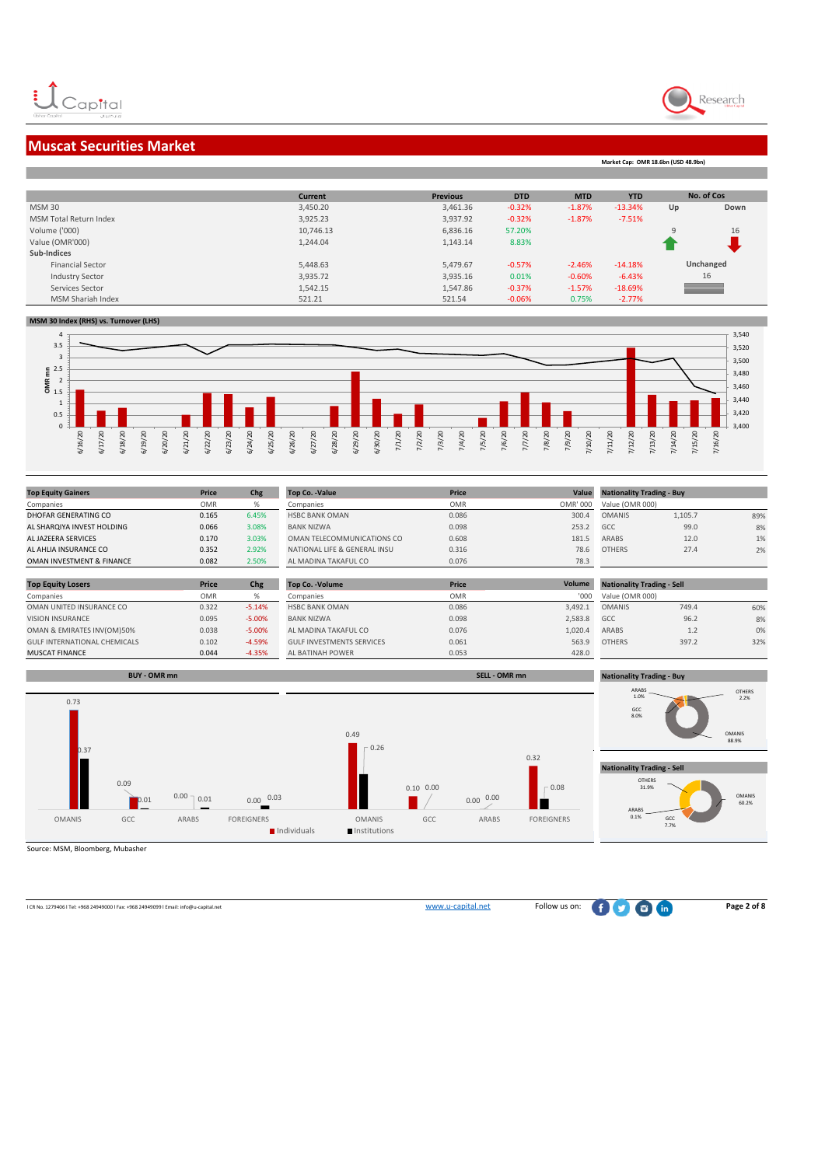

**Market Cap: OMR 18.6bn (USD 48.9bn)**

### **Muscat Securities Market**

| <b>Current</b> | <b>Previous</b> | <b>DTD</b> | <b>MTD</b> | <b>YTD</b> | No. of Cos               |      |
|----------------|-----------------|------------|------------|------------|--------------------------|------|
| 3,450.20       | 3,461.36        | $-0.32%$   | $-1.87%$   | $-13.34%$  | Up                       | Down |
| 3,925.23       | 3,937.92        | $-0.32%$   | $-1.87%$   | $-7.51%$   |                          |      |
| 10,746.13      | 6,836.16        | 57.20%     |            |            | q                        | 16   |
| 1,244.04       | 1,143.14        | 8.83%      |            |            |                          |      |
|                |                 |            |            |            |                          |      |
| 5,448.63       | 5,479.67        | $-0.57%$   | $-2.46%$   | $-14.18%$  | Unchanged                |      |
| 3,935.72       | 3,935.16        | 0.01%      | $-0.60%$   | $-6.43%$   | 16                       |      |
| 1,542.15       | 1,547.86        | $-0.37%$   | $-1.57%$   | $-18.69%$  | $\overline{\phantom{a}}$ |      |
| 521.21         | 521.54          | $-0.06%$   | 0.75%      | $-2.77\%$  |                          |      |
|                |                 |            |            |            |                          |      |

#### **MSM 30 Index (RHS) vs. Turnover (LHS)**



| <b>Top Equity Gainers</b>  | Price      | Chg   | Top Co. - Value              | Price      | Value    | <b>Nationality Trading - Buy</b> |         |     |
|----------------------------|------------|-------|------------------------------|------------|----------|----------------------------------|---------|-----|
| Companies                  | <b>OMR</b> |       | Companies                    | <b>OMR</b> | OMR' 000 | Value (OMR 000)                  |         |     |
| DHOFAR GENERATING CO       | 0.165      | 6.45% | <b>HSBC BANK OMAN</b>        | 0.086      | 300.4    | <b>OMANIS</b>                    | 1,105.7 | 89% |
| AL SHARQIYA INVEST HOLDING | 0.066      | 3.08% | <b>BANK NIZWA</b>            | 0.098      | 253.2    | GCC                              | 99.0    | 8%  |
| AL JAZEERA SERVICES        | 0.170      | 3.03% | OMAN TELECOMMUNICATIONS CO   | 0.608      | 181.5    | <b>ARABS</b>                     | 12.0    | 1%  |
| AL AHLIA INSURANCE CO      | 0.352      | 2.92% | NATIONAL LIFE & GENERAL INSU | 0.316      | 78.6     | <b>OTHERS</b>                    | 27.4    | 2%  |
| OMAN INVESTMENT & FINANCE  | 0.082      | 2.50% | AL MADINA TAKAFUL CO         | 0.076      | 78.3     |                                  |         |     |
|                            |            |       |                              |            |          |                                  |         |     |

| <b>Top Equity Losers</b>            | Price      | Chg      | Top Co. - Volume                 | <b>Price</b> | Volume  | <b>Nationality Trading - Sell</b> |       |     |
|-------------------------------------|------------|----------|----------------------------------|--------------|---------|-----------------------------------|-------|-----|
| Companies                           | <b>OMR</b> |          | Companies                        | <b>OMR</b>   | '000    | Value (OMR 000)                   |       |     |
| OMAN UNITED INSURANCE CO            | 0.322      | $-5.14%$ | <b>HSBC BANK OMAN</b>            | 0.086        | 3.492.1 | <b>OMANIS</b>                     | 749.4 | 60% |
| <b>VISION INSURANCE</b>             | 0.095      | $-5.00%$ | <b>BANK NIZWA</b>                | 0.098        | 2.583.8 | GCC                               | 96.2  | 8%  |
| OMAN & EMIRATES INV(OM)50%          | 0.038      | $-5.00%$ | AL MADINA TAKAFUL CO             | 0.076        | 1.020.4 | ARABS                             | 1.2   | 0%  |
| <b>GULF INTERNATIONAL CHEMICALS</b> | 0.102      | $-4.59%$ | <b>GULF INVESTMENTS SERVICES</b> | 0.061        | 563.9   | <b>OTHERS</b>                     | 397.2 | 32% |
| <b>MUSCAT FINANCE</b>               | 0.044      | $-4.35%$ | AL BATINAH POWER                 | 0.053        | 428.0   |                                   |       |     |



Source: MSM, Bloomberg, Mubasher

l CR No. 1279406 l Tel: +968 24949000 l Fax: +968 24949099 l Email: info@u-capital.net www.u-capital.net Follow us on: **Page 2 of 8**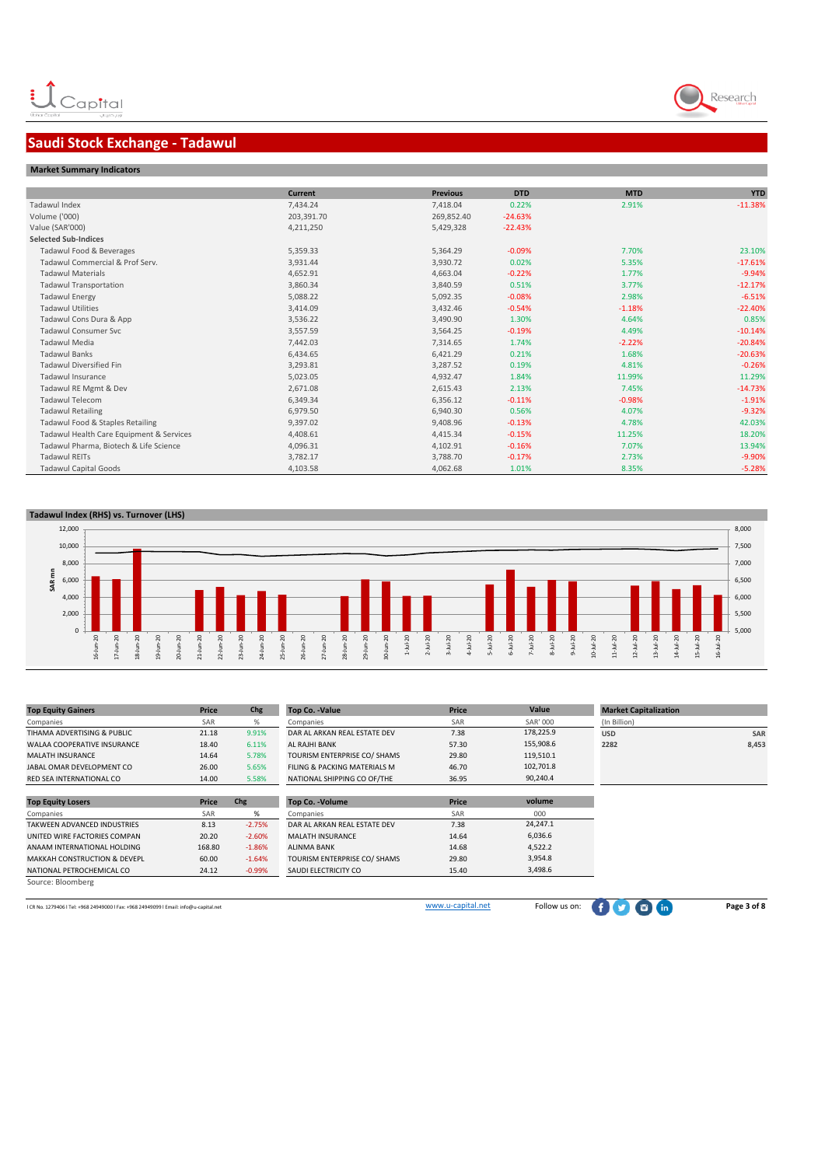# Research

## **Saudi Stock Exchange - Tadawul**

| <b>Market Summary Indicators</b> |
|----------------------------------|
|----------------------------------|

|                                          | <b>Current</b> | <b>Previous</b> | <b>DTD</b> | <b>MTD</b> | <b>YTD</b> |
|------------------------------------------|----------------|-----------------|------------|------------|------------|
| Tadawul Index                            | 7,434.24       | 7,418.04        | 0.22%      | 2.91%      | $-11.38%$  |
| Volume ('000)                            | 203,391.70     | 269,852.40      | $-24.63%$  |            |            |
| Value (SAR'000)                          | 4,211,250      | 5,429,328       | $-22.43%$  |            |            |
| <b>Selected Sub-Indices</b>              |                |                 |            |            |            |
| Tadawul Food & Beverages                 | 5,359.33       | 5,364.29        | $-0.09%$   | 7.70%      | 23.10%     |
| Tadawul Commercial & Prof Serv.          | 3,931.44       | 3,930.72        | 0.02%      | 5.35%      | $-17.61%$  |
| <b>Tadawul Materials</b>                 | 4,652.91       | 4,663.04        | $-0.22%$   | 1.77%      | $-9.94%$   |
| <b>Tadawul Transportation</b>            | 3,860.34       | 3,840.59        | 0.51%      | 3.77%      | $-12.17%$  |
| <b>Tadawul Energy</b>                    | 5,088.22       | 5,092.35        | $-0.08%$   | 2.98%      | $-6.51%$   |
| <b>Tadawul Utilities</b>                 | 3,414.09       | 3,432.46        | $-0.54%$   | $-1.18%$   | $-22.40%$  |
| Tadawul Cons Dura & App                  | 3,536.22       | 3,490.90        | 1.30%      | 4.64%      | 0.85%      |
| <b>Tadawul Consumer Svc</b>              | 3,557.59       | 3,564.25        | $-0.19%$   | 4.49%      | $-10.14%$  |
| Tadawul Media                            | 7,442.03       | 7,314.65        | 1.74%      | $-2.22%$   | $-20.84%$  |
| <b>Tadawul Banks</b>                     | 6,434.65       | 6,421.29        | 0.21%      | 1.68%      | $-20.63%$  |
| <b>Tadawul Diversified Fin</b>           | 3,293.81       | 3,287.52        | 0.19%      | 4.81%      | $-0.26%$   |
| <b>Tadawul Insurance</b>                 | 5,023.05       | 4,932.47        | 1.84%      | 11.99%     | 11.29%     |
| Tadawul RE Mgmt & Dev                    | 2,671.08       | 2,615.43        | 2.13%      | 7.45%      | $-14.73%$  |
| <b>Tadawul Telecom</b>                   | 6,349.34       | 6,356.12        | $-0.11%$   | $-0.98%$   | $-1.91%$   |
| <b>Tadawul Retailing</b>                 | 6,979.50       | 6,940.30        | 0.56%      | 4.07%      | $-9.32%$   |
| Tadawul Food & Staples Retailing         | 9,397.02       | 9,408.96        | $-0.13%$   | 4.78%      | 42.03%     |
| Tadawul Health Care Equipment & Services | 4,408.61       | 4,415.34        | $-0.15%$   | 11.25%     | 18.20%     |
| Tadawul Pharma, Biotech & Life Science   | 4,096.31       | 4,102.91        | $-0.16%$   | 7.07%      | 13.94%     |
| <b>Tadawul REITs</b>                     | 3,782.17       | 3,788.70        | $-0.17%$   | 2.73%      | $-9.90%$   |
| <b>Tadawul Capital Goods</b>             | 4,103.58       | 4,062.68        | 1.01%      | 8.35%      | $-5.28%$   |

#### **Tadawul Index (RHS) vs. Turnover (LHS)**



| <b>Top Equity Gainers</b>               | Price  | Chg      | Top Co. - Value              | Price | Value           | <b>Market Capitalization</b> |            |
|-----------------------------------------|--------|----------|------------------------------|-------|-----------------|------------------------------|------------|
| Companies                               | SAR    | %        | Companies                    | SAR   | <b>SAR' 000</b> | (In Billion)                 |            |
| TIHAMA ADVERTISING & PUBLIC             | 21.18  | 9.91%    | DAR AL ARKAN REAL ESTATE DEV | 7.38  | 178,225.9       | <b>USD</b>                   | <b>SAR</b> |
| <b>WALAA COOPERATIVE INSURANCE</b>      | 18.40  | 6.11%    | AL RAJHI BANK                | 57.30 | 155,908.6       | 2282                         | 8,453      |
| MALATH INSURANCE                        | 14.64  | 5.78%    | TOURISM ENTERPRISE CO/ SHAMS | 29.80 | 119,510.1       |                              |            |
| JABAL OMAR DEVELOPMENT CO               | 26.00  | 5.65%    | FILING & PACKING MATERIALS M | 46.70 | 102,701.8       |                              |            |
| RED SEA INTERNATIONAL CO                | 14.00  | 5.58%    | NATIONAL SHIPPING CO OF/THE  | 36.95 | 90,240.4        |                              |            |
|                                         |        |          |                              |       |                 |                              |            |
| <b>Top Equity Losers</b>                | Price  | Chg      | <b>Top Co. - Volume</b>      | Price | volume          |                              |            |
| Companies                               | SAR    | %        | Companies                    | SAR   | 000             |                              |            |
| TAKWEEN ADVANCED INDUSTRIES             | 8.13   | $-2.75%$ | DAR AL ARKAN REAL ESTATE DEV | 7.38  | 24,247.1        |                              |            |
| UNITED WIRE FACTORIES COMPAN            | 20.20  | $-2.60%$ | <b>MALATH INSURANCE</b>      | 14.64 | 6,036.6         |                              |            |
| ANAAM INTERNATIONAL HOLDING             | 168.80 | $-1.86%$ | <b>ALINMA BANK</b>           | 14.68 | 4,522.2         |                              |            |
| <b>MAKKAH CONSTRUCTION &amp; DEVEPL</b> | 60.00  | $-1.64%$ | TOURISM ENTERPRISE CO/ SHAMS | 29.80 | 3,954.8         |                              |            |
| NATIONAL PETROCHEMICAL CO               | 24.12  | $-0.99%$ | SAUDI ELECTRICITY CO         | 15.40 | 3,498.6         |                              |            |

Source: Bloomberg

LCR No. 1279406 l Tel: +968 24949000 l Fax: +968 24949099 l Email: info@u-capital.net Page 3 of 8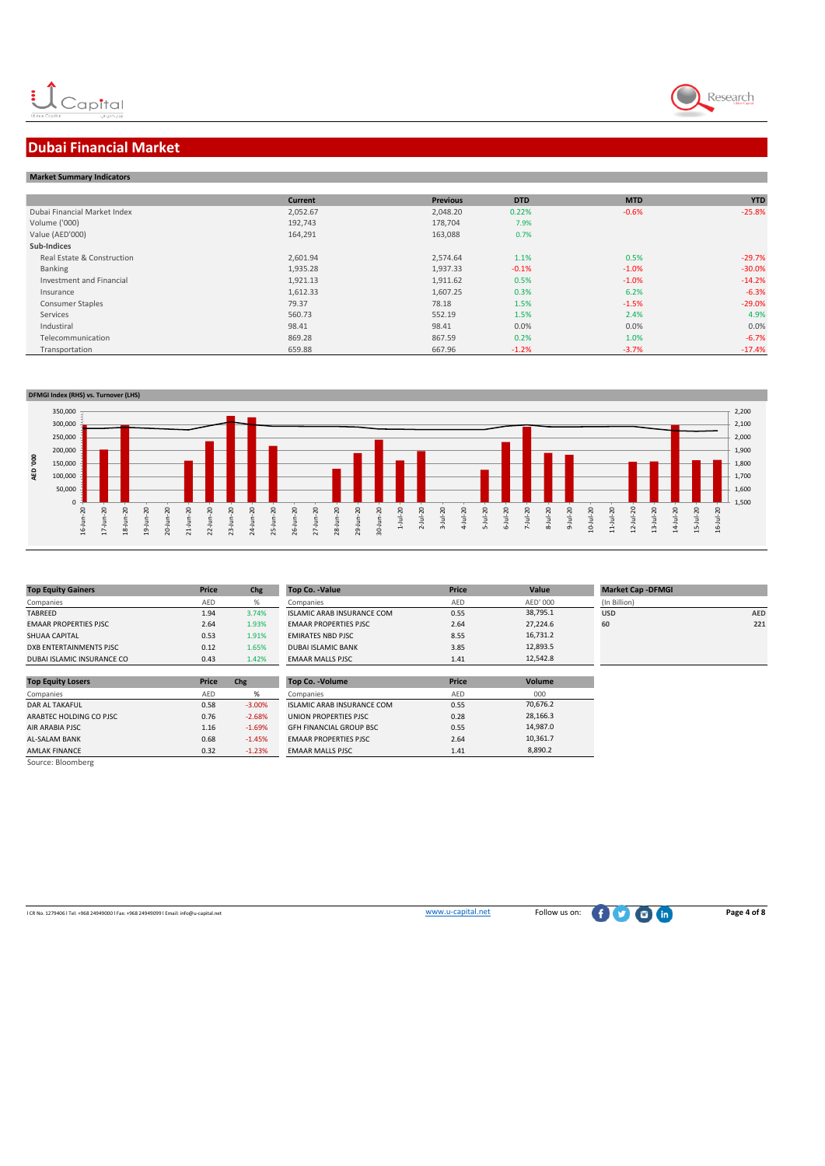

# **Dubai Financial Market**

| <b>Market Summary Indicators</b> |                |                 |            |            |            |  |  |  |
|----------------------------------|----------------|-----------------|------------|------------|------------|--|--|--|
|                                  | <b>Current</b> | <b>Previous</b> | <b>DTD</b> | <b>MTD</b> | <b>YTD</b> |  |  |  |
| Dubai Financial Market Index     | 2,052.67       | 2,048.20        | 0.22%      | $-0.6%$    | $-25.8%$   |  |  |  |
| Volume ('000)                    | 192,743        | 178,704         | 7.9%       |            |            |  |  |  |
| Value (AED'000)                  | 164,291        | 163,088         | 0.7%       |            |            |  |  |  |
| Sub-Indices                      |                |                 |            |            |            |  |  |  |
| Real Estate & Construction       | 2,601.94       | 2.574.64        | 1.1%       | 0.5%       | $-29.7%$   |  |  |  |
| Banking                          | 1,935.28       | 1,937.33        | $-0.1%$    | $-1.0%$    | $-30.0%$   |  |  |  |
| Investment and Financial         | 1,921.13       | 1,911.62        | 0.5%       | $-1.0%$    | $-14.2%$   |  |  |  |
| Insurance                        | 1,612.33       | 1,607.25        | 0.3%       | 6.2%       | $-6.3%$    |  |  |  |
| <b>Consumer Staples</b>          | 79.37          | 78.18           | 1.5%       | $-1.5%$    | $-29.0%$   |  |  |  |
| Services                         | 560.73         | 552.19          | 1.5%       | 2.4%       | 4.9%       |  |  |  |
| Industiral                       | 98.41          | 98.41           | 0.0%       | 0.0%       | 0.0%       |  |  |  |
| Telecommunication                | 869.28         | 867.59          | 0.2%       | 1.0%       | $-6.7%$    |  |  |  |
| Transportation                   | 659.88         | 667.96          | $-1.2%$    | $-3.7%$    | $-17.4%$   |  |  |  |



| <b>Top Equity Gainers</b>    | Price      | Chg   | <b>Top Co. -Value</b>             | Price |
|------------------------------|------------|-------|-----------------------------------|-------|
| Companies                    | <b>AFD</b> | %     | Companies                         | AFD   |
| TABREED                      | 1.94       | 3.74% | <b>ISLAMIC ARAB INSURANCE COM</b> | 0.55  |
| <b>EMAAR PROPERTIES PJSC</b> | 2.64       | 1.93% | <b>EMAAR PROPERTIES PJSC</b>      | 2.64  |
| SHUAA CAPITAL                | 0.53       | 1.91% | <b>EMIRATES NBD PISC.</b>         | 8.55  |
| DXB ENTERTAINMENTS PJSC      | 0.12       | 1.65% | DUBALISLAMIC BANK                 | 3.85  |
| DUBAI ISLAMIC INSURANCE CO   | 0.43       | 1.42% | <b>EMAAR MALLS PJSC</b>           | 1.41  |

| <b>Top Equity Losers</b> | Price | Chg      | Top Co. - Volume                  | Price |
|--------------------------|-------|----------|-----------------------------------|-------|
| Companies                | AED   | %        | Companies                         | AED   |
| <b>DAR AL TAKAFUL</b>    | 0.58  | $-3.00%$ | <b>ISLAMIC ARAB INSURANCE COM</b> | 0.55  |
| ARABTEC HOLDING CO PJSC  | 0.76  | $-2.68%$ | UNION PROPERTIES PJSC             | 0.28  |
| <b>AIR ARABIA PJSC</b>   | 1.16  | $-1.69%$ | <b>GFH FINANCIAL GROUP BSC</b>    | 0.55  |
| AL-SALAM BANK            | 0.68  | $-1.45%$ | <b>EMAAR PROPERTIES PJSC</b>      | 2.64  |
| <b>AMLAK FINANCE</b>     | 0.32  | $-1.23%$ | <b>EMAAR MALLS PJSC</b>           | 1.41  |
| Source: Bloomberg        |       |          |                                   |       |

| <b>Top Equity Gainers</b>    | Price | Chg   | Top Co. - Value                   | Price | Value    | <b>Market Cap -DFMGI</b> |     |
|------------------------------|-------|-------|-----------------------------------|-------|----------|--------------------------|-----|
| Companies                    | AED   |       | Companies                         | AED   | AED' 000 | (In Billion)             |     |
| TABREED                      | 1.94  | 3.74% | <b>ISLAMIC ARAB INSURANCE COM</b> | 0.55  | 38,795.1 | <b>USD</b>               | AED |
| <b>EMAAR PROPERTIES PJSC</b> | 2.64  | 1.93% | <b>EMAAR PROPERTIES PJSC</b>      | 2.64  | 27.224.6 | 60                       | 221 |
| SHUAA CAPITAL                | 0.53  | 1.91% | <b>EMIRATES NBD PJSC</b>          | 8.55  | 16,731.2 |                          |     |
| DXB ENTERTAINMENTS PJSC      | 0.12  | 1.65% | <b>DUBAI ISLAMIC BANK</b>         | 3.85  | 12.893.5 |                          |     |
| DUBAI ISLAMIC INSURANCE CO   | 0.43  | 1.42% | <b>EMAAR MALLS PJSC</b>           | 1.41  | 12.542.8 |                          |     |
|                              |       |       |                                   |       |          |                          |     |

| <b>Top Co. - Volume</b>           | Price | Volume   |
|-----------------------------------|-------|----------|
| Companies                         | AED   | 000      |
| <b>ISLAMIC ARAB INSURANCE COM</b> | 0.55  | 70,676.2 |
| UNION PROPERTIES PJSC             | 0.28  | 28.166.3 |
| <b>GFH FINANCIAL GROUP BSC</b>    | 0.55  | 14.987.0 |
| <b>EMAAR PROPERTIES PJSC</b>      | 2.64  | 10.361.7 |
| <b>EMAAR MALLS PJSC</b>           | 1.41  | 8.890.2  |

| <b>AED</b> |
|------------|
| 221        |
|            |
|            |
|            |

LCR No. 1279406 l Tel: +968 24949000 l Fax: +968 24949099 l Email: info@u-capital.net Page 4 of 8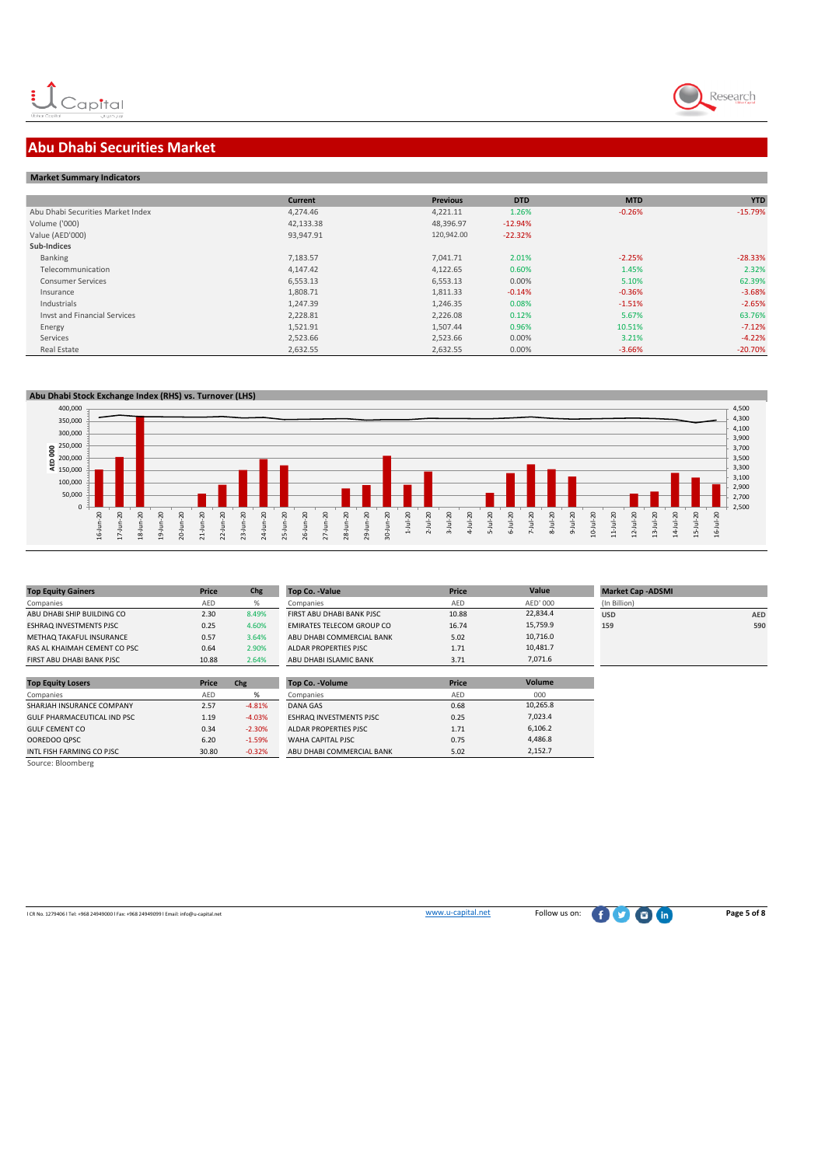

# **Abu Dhabi Securities Market**

#### **Market Summary Indicators**

|                                     | <b>Current</b> | <b>Previous</b> | <b>DTD</b> | <b>MTD</b> | <b>YTD</b> |
|-------------------------------------|----------------|-----------------|------------|------------|------------|
| Abu Dhabi Securities Market Index   | 4.274.46       | 4,221.11        | 1.26%      | $-0.26%$   | $-15.79%$  |
| Volume ('000)                       | 42,133.38      | 48,396.97       | $-12.94%$  |            |            |
| Value (AED'000)                     | 93,947.91      | 120,942.00      | $-22.32%$  |            |            |
| Sub-Indices                         |                |                 |            |            |            |
| Banking                             | 7,183.57       | 7,041.71        | 2.01%      | $-2.25%$   | $-28.33%$  |
| Telecommunication                   | 4,147.42       | 4,122.65        | 0.60%      | 1.45%      | 2.32%      |
| <b>Consumer Services</b>            | 6,553.13       | 6,553.13        | 0.00%      | 5.10%      | 62.39%     |
| Insurance                           | 1,808.71       | 1,811.33        | $-0.14%$   | $-0.36%$   | $-3.68%$   |
| Industrials                         | 1,247.39       | 1,246.35        | 0.08%      | $-1.51%$   | $-2.65%$   |
| <b>Invst and Financial Services</b> | 2,228.81       | 2,226.08        | 0.12%      | 5.67%      | 63.76%     |
| Energy                              | 1,521.91       | 1,507.44        | 0.96%      | 10.51%     | $-7.12%$   |
| Services                            | 2,523.66       | 2,523.66        | 0.00%      | 3.21%      | $-4.22%$   |
| Real Estate                         | 2,632.55       | 2,632.55        | 0.00%      | $-3.66%$   | $-20.70%$  |

 **Abu Dhabi Stock Exchange Index (RHS) vs. Turnover (LHS)** 



| <b>Top Equity Gainers</b>      | Price | Chg   | Top Co. - Value                  | Price |
|--------------------------------|-------|-------|----------------------------------|-------|
| Companies                      | AFD   | %     | Companies                        | AFD   |
| ABU DHABI SHIP BUILDING CO     | 2.30  | 8.49% | FIRST ABU DHABI BANK PJSC        | 10.88 |
| <b>ESHRAQ INVESTMENTS PJSC</b> | 0.25  | 4.60% | <b>EMIRATES TELECOM GROUP CO</b> | 16.74 |
| METHAQ TAKAFUL INSURANCE       | 0.57  | 3.64% | ABU DHABI COMMERCIAL BANK        | 5.02  |
| RAS AL KHAIMAH CEMENT CO PSC   | 0.64  | 2.90% | ALDAR PROPERTIES PJSC            | 1.71  |
| FIRST ABU DHABI BANK PJSC      | 10.88 | 2.64% | ABU DHABI ISLAMIC BANK           | 3.71  |

| Price | Chg      | Top Co. - Volume               | Price |
|-------|----------|--------------------------------|-------|
| AED   | %        | Companies                      | AED   |
| 2.57  | $-4.81%$ | DANA GAS                       | 0.68  |
| 1.19  | $-4.03%$ | <b>ESHRAQ INVESTMENTS PJSC</b> | 0.25  |
| 0.34  | $-2.30%$ | ALDAR PROPERTIES PJSC          | 1.71  |
| 6.20  | $-1.59%$ | WAHA CAPITAL PJSC              | 0.75  |
| 30.80 | $-0.32%$ | ABU DHABI COMMERCIAL BANK      | 5.02  |
|       |          |                                |       |
|       |          |                                |       |

| <b>Top Equity Gainers</b>    | Price | Chg   | Top Co. -Value            | Price      | Value    | <b>Market Cap -ADSMI</b> |            |
|------------------------------|-------|-------|---------------------------|------------|----------|--------------------------|------------|
| Companies                    | AED   |       | Companies                 | <b>AFD</b> | AED' 000 | (In Billion)             |            |
| ABU DHABI SHIP BUILDING CO   | 2.30  | 8.49% | FIRST ABU DHABI BANK PJSC | 10.88      | 22.834.4 | <b>USD</b>               | <b>AED</b> |
| ESHRAQ INVESTMENTS PJSC      | 0.25  | 4.60% | EMIRATES TELECOM GROUP CO | 16.74      | 15,759.9 | 159                      | 590        |
| METHAQ TAKAFUL INSURANCE     | 0.57  | 3.64% | ABU DHABI COMMERCIAL BANK | 5.02       | 10,716.0 |                          |            |
| RAS AL KHAIMAH CEMENT CO PSC | 0.64  | 2.90% | ALDAR PROPERTIES PISC     | 1.71       | 10,481.7 |                          |            |
| FIRST ABU DHABI BANK PISC    | 10.88 | 2.64% | ABU DHABI ISLAMIC BANK    | 3.71       | 7,071.6  |                          |            |

| Top Co. - Volume               | Price | Volume   |  |
|--------------------------------|-------|----------|--|
| Companies                      | AED   | 000      |  |
| DANA GAS                       | 0.68  | 10.265.8 |  |
| <b>ESHRAQ INVESTMENTS PJSC</b> | 0.25  | 7.023.4  |  |
| ALDAR PROPERTIES PISC.         | 1.71  | 6.106.2  |  |
| WAHA CAPITAL PISC              | 0.75  | 4.486.8  |  |
| ABU DHABI COMMERCIAL BANK      | 5.02  | 2.152.7  |  |

| USD | AEI |
|-----|-----|
| 159 | 59  |
|     |     |
|     |     |
|     |     |
|     |     |
|     |     |
|     |     |

ICR No. 1279406 l Tel: +968 24949000 l Fax: +968 24949099 l Email: info@u-capital.net Page 5 of 8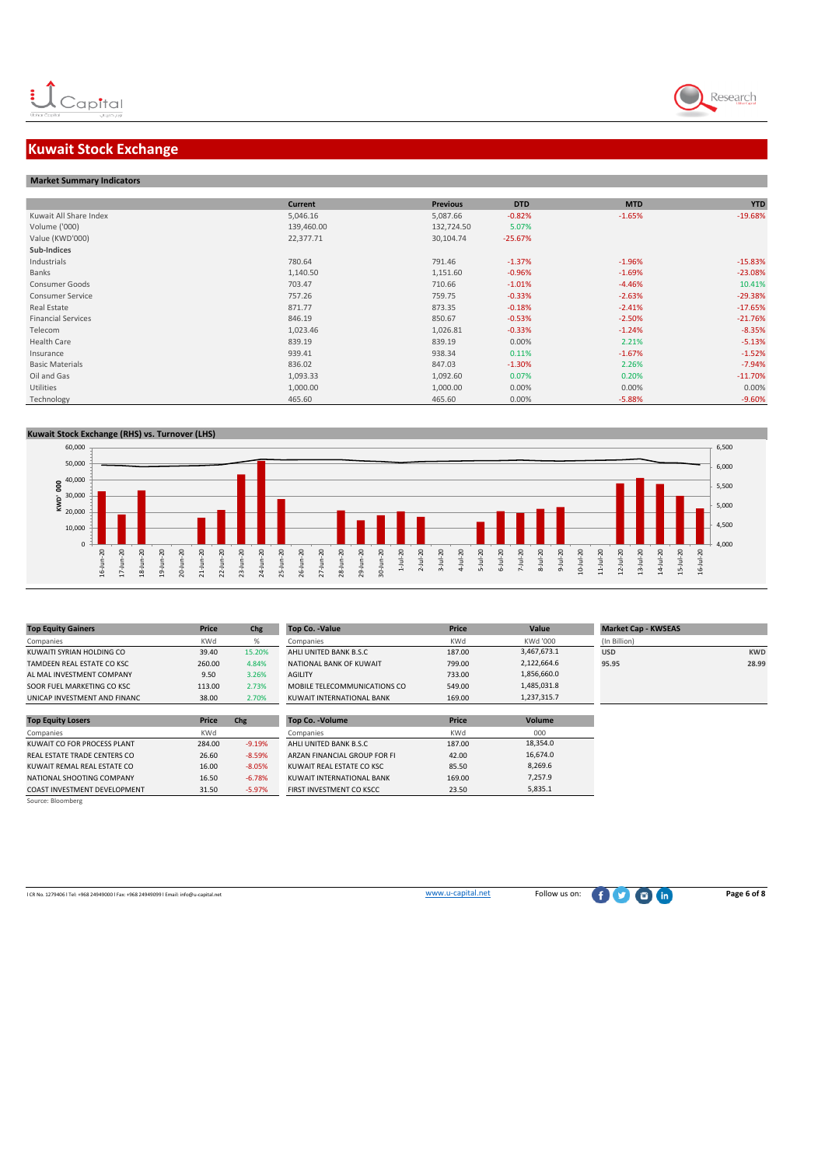

# **Kuwait Stock Exchange**

| <b>Market Summary Indicators</b> |                |                 |            |            |            |
|----------------------------------|----------------|-----------------|------------|------------|------------|
|                                  |                |                 |            |            |            |
|                                  | <b>Current</b> | <b>Previous</b> | <b>DTD</b> | <b>MTD</b> | <b>YTD</b> |
| Kuwait All Share Index           | 5,046.16       | 5,087.66        | $-0.82%$   | $-1.65%$   | $-19.68%$  |
| Volume ('000)                    | 139,460.00     | 132,724.50      | 5.07%      |            |            |
| Value (KWD'000)                  | 22,377.71      | 30,104.74       | $-25.67%$  |            |            |
| Sub-Indices                      |                |                 |            |            |            |
| Industrials                      | 780.64         | 791.46          | $-1.37%$   | $-1.96%$   | $-15.83%$  |
| Banks                            | 1,140.50       | 1,151.60        | $-0.96%$   | $-1.69%$   | $-23.08%$  |
| Consumer Goods                   | 703.47         | 710.66          | $-1.01%$   | $-4.46%$   | 10.41%     |
| <b>Consumer Service</b>          | 757.26         | 759.75          | $-0.33%$   | $-2.63%$   | $-29.38%$  |
| Real Estate                      | 871.77         | 873.35          | $-0.18%$   | $-2.41%$   | $-17.65%$  |
| <b>Financial Services</b>        | 846.19         | 850.67          | $-0.53%$   | $-2.50%$   | $-21.76%$  |
| Telecom                          | 1,023.46       | 1,026.81        | $-0.33%$   | $-1.24%$   | $-8.35%$   |
| Health Care                      | 839.19         | 839.19          | 0.00%      | 2.21%      | $-5.13%$   |
| Insurance                        | 939.41         | 938.34          | 0.11%      | $-1.67%$   | $-1.52%$   |
| <b>Basic Materials</b>           | 836.02         | 847.03          | $-1.30%$   | 2.26%      | $-7.94%$   |
| Oil and Gas                      | 1,093.33       | 1,092.60        | 0.07%      | 0.20%      | $-11.70%$  |
| Utilities                        | 1,000.00       | 1,000.00        | 0.00%      | 0.00%      | 0.00%      |
| Technology                       | 465.60         | 465.60          | 0.00%      | $-5.88%$   | $-9.60%$   |
|                                  |                |                 |            |            |            |

#### **Kuwait Stock Exchange (RHS) vs. Turnover (LHS)**



| <b>Top Equity Gainers</b>    | Price      | Chg      | <b>Top Co. -Value</b>        | Price      | Value       | <b>Market Cap - KWSEAS</b> |            |
|------------------------------|------------|----------|------------------------------|------------|-------------|----------------------------|------------|
| Companies                    | KWd        | %        | Companies                    | <b>KWd</b> | KWd '000    | (In Billion)               |            |
| KUWAITI SYRIAN HOLDING CO    | 39.40      | 15.20%   | AHLI UNITED BANK B.S.C       | 187.00     | 3,467,673.1 | <b>USD</b>                 | <b>KWD</b> |
| TAMDEEN REAL ESTATE CO KSC   | 260.00     | 4.84%    | NATIONAL BANK OF KUWAIT      | 799.00     | 2,122,664.6 | 95.95                      | 28.99      |
| AL MAL INVESTMENT COMPANY    | 9.50       | 3.26%    | <b>AGILITY</b>               | 733.00     | 1,856,660.0 |                            |            |
| SOOR FUEL MARKETING CO KSC   | 113.00     | 2.73%    | MOBILE TELECOMMUNICATIONS CO | 549.00     | 1,485,031.8 |                            |            |
| UNICAP INVESTMENT AND FINANC | 38.00      | 2.70%    | KUWAIT INTERNATIONAL BANK    | 169.00     | 1,237,315.7 |                            |            |
|                              |            |          |                              |            |             |                            |            |
| <b>Top Equity Losers</b>     | Price      | Chg      | Top Co. - Volume             | Price      | Volume      |                            |            |
| Companies                    | <b>KWd</b> |          | Companies                    | <b>KWd</b> | 000         |                            |            |
| KUWAIT CO FOR PROCESS PLANT  | 284.00     | $-9.19%$ | AHLI UNITED BANK B.S.C       | 187.00     | 18,354.0    |                            |            |
| REAL ESTATE TRADE CENTERS CO | 26.60      | $-8.59%$ | ARZAN FINANCIAL GROUP FOR FI | 42.00      | 16,674.0    |                            |            |
| KUWAIT REMAL REAL ESTATE CO  | 16.00      | $-8.05%$ | KUWAIT REAL ESTATE CO KSC    | 85.50      | 8,269.6     |                            |            |
| NATIONAL SHOOTING COMPANY    | 16.50      | $-6.78%$ | KUWAIT INTERNATIONAL BANK    | 169.00     | 7,257.9     |                            |            |
| COAST INVESTMENT DEVELOPMENT | 31.50      | $-5.97%$ | FIRST INVESTMENT CO KSCC     | 23.50      | 5,835.1     |                            |            |
| Source: Bloomberg            |            |          |                              |            |             |                            |            |

l CR No. 1279406 l Tel: +968 24949000 l Fax: +968 24949099 l Email: info@u-capital.net www.u-capital.net Follow us on: **Page 6 of 8**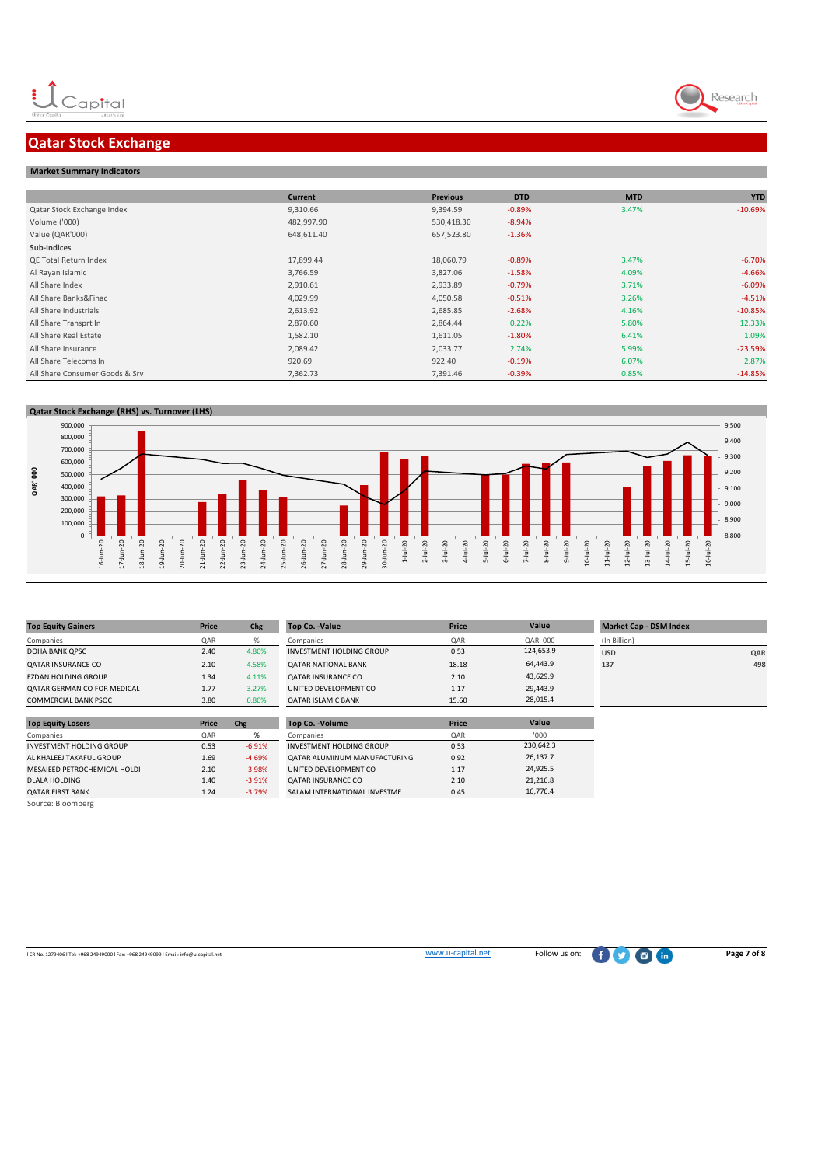## **Qatar Stock Exchange**

#### **Market Summary Indicators**

|                                | <b>Current</b> | <b>Previous</b> | <b>DTD</b> | <b>MTD</b> | <b>YTD</b> |
|--------------------------------|----------------|-----------------|------------|------------|------------|
| Qatar Stock Exchange Index     | 9,310.66       | 9,394.59        | $-0.89%$   | 3.47%      | $-10.69%$  |
| Volume ('000)                  | 482,997.90     | 530,418.30      | $-8.94%$   |            |            |
| Value (QAR'000)                | 648,611.40     | 657,523.80      | $-1.36%$   |            |            |
| Sub-Indices                    |                |                 |            |            |            |
| <b>QE Total Return Index</b>   | 17,899.44      | 18,060.79       | $-0.89%$   | 3.47%      | $-6.70%$   |
| Al Rayan Islamic               | 3,766.59       | 3,827.06        | $-1.58%$   | 4.09%      | $-4.66%$   |
| All Share Index                | 2,910.61       | 2,933.89        | $-0.79%$   | 3.71%      | $-6.09%$   |
| All Share Banks&Finac          | 4,029.99       | 4,050.58        | $-0.51%$   | 3.26%      | $-4.51%$   |
| All Share Industrials          | 2,613.92       | 2,685.85        | $-2.68%$   | 4.16%      | $-10.85%$  |
| All Share Transprt In          | 2,870.60       | 2,864.44        | 0.22%      | 5.80%      | 12.33%     |
| All Share Real Estate          | 1,582.10       | 1,611.05        | $-1.80%$   | 6.41%      | 1.09%      |
| All Share Insurance            | 2,089.42       | 2,033.77        | 2.74%      | 5.99%      | $-23.59%$  |
| All Share Telecoms In          | 920.69         | 922.40          | $-0.19%$   | 6.07%      | 2.87%      |
| All Share Consumer Goods & Srv | 7,362.73       | 7,391.46        | $-0.39%$   | 0.85%      | $-14.85%$  |



| <b>Top Equity Gainers</b>       | Price      | Chg      | <b>Top Co. -Value</b>        | Price | Value     | <b>Market Cap - DSM Index</b> |     |
|---------------------------------|------------|----------|------------------------------|-------|-----------|-------------------------------|-----|
| Companies                       | <b>QAR</b> | %        | Companies                    | QAR   | QAR' 000  | (In Billion)                  |     |
| DOHA BANK QPSC                  | 2.40       | 4.80%    | INVESTMENT HOLDING GROUP     | 0.53  | 124,653.9 | <b>USD</b>                    | QAR |
| <b>QATAR INSURANCE CO</b>       | 2.10       | 4.58%    | <b>QATAR NATIONAL BANK</b>   | 18.18 | 64,443.9  | 137                           | 498 |
| <b>EZDAN HOLDING GROUP</b>      | 1.34       | 4.11%    | <b>QATAR INSURANCE CO</b>    | 2.10  | 43,629.9  |                               |     |
| QATAR GERMAN CO FOR MEDICAL     | 1.77       | 3.27%    | UNITED DEVELOPMENT CO        | 1.17  | 29,443.9  |                               |     |
| COMMERCIAL BANK PSQC            | 3.80       | 0.80%    | <b>QATAR ISLAMIC BANK</b>    | 15.60 | 28,015.4  |                               |     |
|                                 |            |          |                              |       |           |                               |     |
| <b>Top Equity Losers</b>        | Price      | Chg      | Top Co. - Volume             | Price | Value     |                               |     |
| Companies                       | QAR        | %        | Companies                    | QAR   | '000      |                               |     |
| <b>INVESTMENT HOLDING GROUP</b> | 0.53       | $-6.91%$ | INVESTMENT HOLDING GROUP     | 0.53  | 230,642.3 |                               |     |
| AL KHALEEJ TAKAFUL GROUP        | 1.69       | $-4.69%$ | QATAR ALUMINUM MANUFACTURING | 0.92  | 26,137.7  |                               |     |
| MESAIEED PETROCHEMICAL HOLDI    | 2.10       | $-3.98%$ | UNITED DEVELOPMENT CO        | 1.17  | 24,925.5  |                               |     |
| <b>DLALA HOLDING</b>            | 1.40       | $-3.91%$ | <b>QATAR INSURANCE CO</b>    | 2.10  | 21,216.8  |                               |     |
| <b>QATAR FIRST BANK</b>         | 1.24       | $-3.79%$ | SALAM INTERNATIONAL INVESTME | 0.45  | 16,776.4  |                               |     |
| Source: Bloomberg               |            |          |                              |       |           |                               |     |

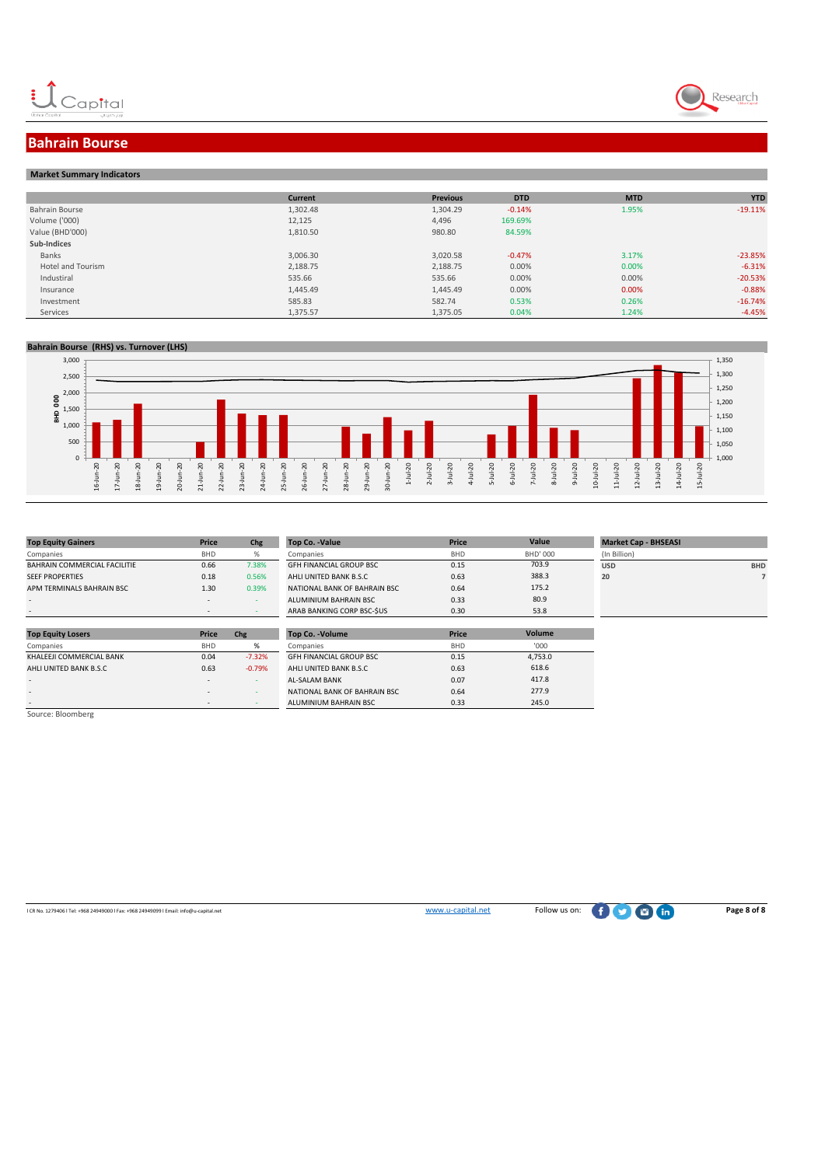



## **Bahrain Bourse**

#### **Market Summary Indicators**

|                          | <b>Current</b> | <b>Previous</b> | <b>DTD</b> | <b>MTD</b> | <b>YTD</b> |
|--------------------------|----------------|-----------------|------------|------------|------------|
| Bahrain Bourse           | 1,302.48       | 1,304.29        | $-0.14%$   | 1.95%      | $-19.11%$  |
| Volume ('000)            | 12,125         | 4,496           | 169.69%    |            |            |
| Value (BHD'000)          | 1,810.50       | 980.80          | 84.59%     |            |            |
| Sub-Indices              |                |                 |            |            |            |
| Banks                    | 3,006.30       | 3,020.58        | $-0.47%$   | 3.17%      | $-23.85%$  |
| <b>Hotel and Tourism</b> | 2,188.75       | 2,188.75        | 0.00%      | 0.00%      | $-6.31%$   |
| Industiral               | 535.66         | 535.66          | 0.00%      | 0.00%      | $-20.53%$  |
| Insurance                | 1,445.49       | 1,445.49        | 0.00%      | 0.00%      | $-0.88%$   |
| Investment               | 585.83         | 582.74          | 0.53%      | 0.26%      | $-16.74%$  |
| Services                 | 1,375.57       | 1,375.05        | 0.04%      | 1.24%      | $-4.45%$   |

#### **Bahrain Bourse (RHS) vs. Turnover (LHS)**



| <b>Top Equity Gainers</b>    | Price      | Chg   | Top Co. - Value                | Price      |
|------------------------------|------------|-------|--------------------------------|------------|
| Companies                    | <b>BHD</b> | %     | Companies                      | <b>BHD</b> |
| BAHRAIN COMMERCIAL FACILITIE | 0.66       | 7.38% | <b>GFH FINANCIAL GROUP BSC</b> | 0.15       |
| <b>SEEF PROPERTIES</b>       | 0.18       | 0.56% | AHLI UNITED BANK B.S.C         | 0.63       |
| APM TERMINALS BAHRAIN BSC    | 1.30       | 0.39% | NATIONAL BANK OF BAHRAIN BSC   | 0.64       |
|                              |            |       | ALUMINIUM BAHRAIN BSC          | 0.33       |
|                              |            |       | ARAB BANKING CORP BSC-SUS      | 0.30       |

| Price                    |          |                                |                         |                 |                             |            |
|--------------------------|----------|--------------------------------|-------------------------|-----------------|-----------------------------|------------|
|                          | Chg      | Top Co. - Value                | Price                   | Value           | <b>Market Cap - BHSEASI</b> |            |
| <b>BHD</b>               | %        | Companies                      | <b>BHD</b>              | <b>BHD' 000</b> | (In Billion)                |            |
| 0.66                     | 7.38%    | <b>GFH FINANCIAL GROUP BSC</b> | 0.15                    | 703.9           | <b>USD</b>                  | <b>BHD</b> |
| 0.18                     | 0.56%    | AHLI UNITED BANK B.S.C         | 0.63                    | 388.3           | 20                          |            |
| 1.30                     | 0.39%    | NATIONAL BANK OF BAHRAIN BSC   | 0.64                    | 175.2           |                             |            |
| $\,$                     |          | ALUMINIUM BAHRAIN BSC          | 0.33                    | 80.9            |                             |            |
| $\overline{\phantom{a}}$ |          | ARAB BANKING CORP BSC-SUS      | 0.30                    | 53.8            |                             |            |
|                          |          |                                |                         |                 |                             |            |
|                          |          |                                |                         |                 |                             |            |
| <b>BHD</b>               | %        | Companies                      | <b>BHD</b>              | '000            |                             |            |
| 0.04                     | $-7.32%$ | <b>GFH FINANCIAL GROUP BSC</b> | 0.15                    | 4,753.0         |                             |            |
| 0.63                     | $-0.79%$ | AHLI UNITED BANK B.S.C         | 0.63                    | 618.6           |                             |            |
|                          | Price    | Chg                            | <b>Top Co. - Volume</b> | Price           | Volume                      |            |

417.8 277.9 245.0

| <b>Top Equity Losers</b> | Price      | Chg      | <b>Top Co. - Volume</b>        | Price      |
|--------------------------|------------|----------|--------------------------------|------------|
| Companies                | <b>BHD</b> | %        | Companies                      | <b>BHD</b> |
| KHALEEJI COMMERCIAL BANK | 0.04       | $-7.32%$ | <b>GFH FINANCIAL GROUP BSC</b> | 0.15       |
| AHLI UNITED BANK B.S.C   | 0.63       | $-0.79%$ | AHLI UNITED BANK B.S.C         | 0.63       |
|                          |            |          | <b>AL-SALAM BANK</b>           | 0.07       |
|                          |            |          | NATIONAL BANK OF BAHRAIN BSC   | 0.64       |
|                          |            |          | ALUMINIUM BAHRAIN BSC          | 0.33       |

| Source: Bloomberg |  |
|-------------------|--|
|                   |  |
|                   |  |

l CR No. 1279406 l Tel: +968 24949000 l Fax: +968 24949099 l Email: info@u-capital.net www.u-capital.net Follow us on: **Page 8 of 8**